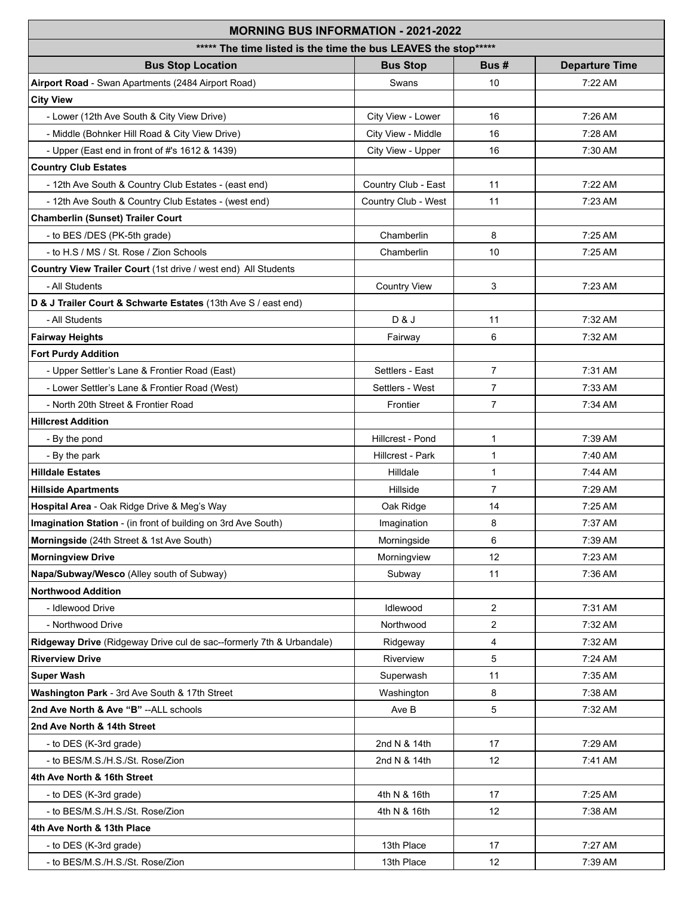| <b>MORNING BUS INFORMATION - 2021-2022</b>                           |                     |                 |                       |  |  |
|----------------------------------------------------------------------|---------------------|-----------------|-----------------------|--|--|
| ***** The time listed is the time the bus LEAVES the stop*****       |                     |                 |                       |  |  |
| <b>Bus Stop Location</b>                                             | <b>Bus Stop</b>     | Bus#            | <b>Departure Time</b> |  |  |
| Airport Road - Swan Apartments (2484 Airport Road)                   | Swans               | 10              | 7:22AM                |  |  |
| <b>City View</b>                                                     |                     |                 |                       |  |  |
| - Lower (12th Ave South & City View Drive)                           | City View - Lower   | 16              | 7:26 AM               |  |  |
| - Middle (Bohnker Hill Road & City View Drive)                       | City View - Middle  | 16              | 7:28 AM               |  |  |
| - Upper (East end in front of #'s 1612 & 1439)                       | City View - Upper   | 16              | 7:30 AM               |  |  |
| <b>Country Club Estates</b>                                          |                     |                 |                       |  |  |
| - 12th Ave South & Country Club Estates - (east end)                 | Country Club - East | 11              | 7:22 AM               |  |  |
| - 12th Ave South & Country Club Estates - (west end)                 | Country Club - West | 11              | 7:23 AM               |  |  |
| <b>Chamberlin (Sunset) Trailer Court</b>                             |                     |                 |                       |  |  |
| - to BES /DES (PK-5th grade)                                         | Chamberlin          | 8               | 7:25 AM               |  |  |
| - to H.S / MS / St. Rose / Zion Schools                              | Chamberlin          | 10              | 7:25 AM               |  |  |
| Country View Trailer Court (1st drive / west end) All Students       |                     |                 |                       |  |  |
| - All Students                                                       | <b>Country View</b> | 3               | 7:23 AM               |  |  |
| D & J Trailer Court & Schwarte Estates (13th Ave S / east end)       |                     |                 |                       |  |  |
| - All Students                                                       | D & J               | 11              | 7:32 AM               |  |  |
| <b>Fairway Heights</b>                                               | Fairway             | 6               | 7:32 AM               |  |  |
| <b>Fort Purdy Addition</b>                                           |                     |                 |                       |  |  |
| - Upper Settler's Lane & Frontier Road (East)                        | Settlers - East     | $\overline{7}$  | 7:31 AM               |  |  |
| - Lower Settler's Lane & Frontier Road (West)                        | Settlers - West     | $\overline{7}$  | 7:33 AM               |  |  |
| - North 20th Street & Frontier Road                                  | Frontier            | $\overline{7}$  | 7:34 AM               |  |  |
| <b>Hillcrest Addition</b>                                            |                     |                 |                       |  |  |
| - By the pond                                                        | Hillcrest - Pond    | $\mathbf{1}$    | 7:39 AM               |  |  |
| - By the park                                                        | Hillcrest - Park    | $\mathbf{1}$    | 7:40 AM               |  |  |
| <b>Hilldale Estates</b>                                              | Hilldale            | $\mathbf{1}$    | 7:44 AM               |  |  |
| <b>Hillside Apartments</b>                                           | Hillside            | $\overline{7}$  | 7:29 AM               |  |  |
| Hospital Area - Oak Ridge Drive & Meg's Way                          | Oak Ridge           | 14              | 7:25 AM               |  |  |
| Imagination Station - (in front of building on 3rd Ave South)        | Imagination         | 8               | 7:37 AM               |  |  |
| Morningside (24th Street & 1st Ave South)                            | Morningside         | 6               | 7:39 AM               |  |  |
| <b>Morningview Drive</b>                                             | Morningview         | 12              | 7:23 AM               |  |  |
| Napa/Subway/Wesco (Alley south of Subway)                            | Subway              | 11              | 7:36 AM               |  |  |
| <b>Northwood Addition</b>                                            |                     |                 |                       |  |  |
| - Idlewood Drive                                                     | Idlewood            | 2               | 7:31 AM               |  |  |
| - Northwood Drive                                                    | Northwood           | $\overline{2}$  | 7:32 AM               |  |  |
| Ridgeway Drive (Ridgeway Drive cul de sac--formerly 7th & Urbandale) | Ridgeway            | 4               | 7:32 AM               |  |  |
| <b>Riverview Drive</b>                                               | Riverview           | 5               | 7:24 AM               |  |  |
| <b>Super Wash</b>                                                    | Superwash           | 11              | 7:35 AM               |  |  |
| Washington Park - 3rd Ave South & 17th Street                        | Washington          | 8               | 7:38 AM               |  |  |
| 2nd Ave North & Ave "B" --ALL schools                                | Ave B               | 5               | 7:32 AM               |  |  |
| 2nd Ave North & 14th Street                                          |                     |                 |                       |  |  |
| - to DES (K-3rd grade)                                               | 2nd N & 14th        | 17              | 7:29 AM               |  |  |
| - to BES/M.S./H.S./St. Rose/Zion                                     | 2nd N & 14th        | 12              | 7:41 AM               |  |  |
| 4th Ave North & 16th Street                                          |                     |                 |                       |  |  |
| - to DES (K-3rd grade)                                               | 4th N & 16th        | 17              | 7:25 AM               |  |  |
| - to BES/M.S./H.S./St. Rose/Zion                                     | 4th N & 16th        | 12 <sup>2</sup> | 7:38 AM               |  |  |
| 4th Ave North & 13th Place                                           |                     |                 |                       |  |  |
| - to DES (K-3rd grade)                                               | 13th Place          | 17              | 7:27 AM               |  |  |
| - to BES/M.S./H.S./St. Rose/Zion                                     | 13th Place          | 12              | 7:39 AM               |  |  |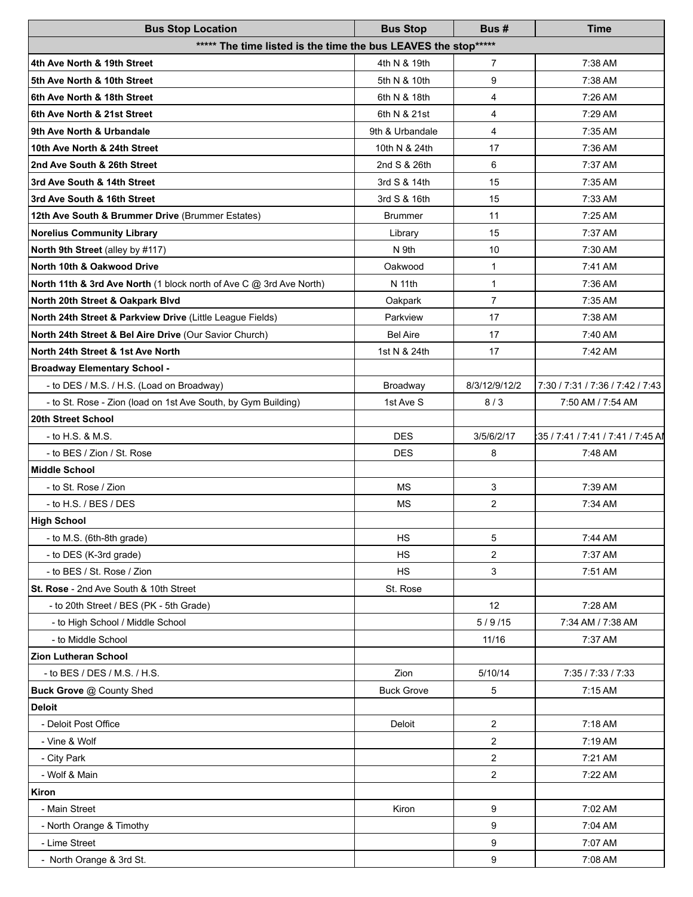| <b>Bus Stop Location</b>                                            | <b>Bus Stop</b>   | Bus#           | Time                              |  |  |  |  |
|---------------------------------------------------------------------|-------------------|----------------|-----------------------------------|--|--|--|--|
| ***** The time listed is the time the bus LEAVES the stop*****      |                   |                |                                   |  |  |  |  |
| 4th Ave North & 19th Street                                         | 4th N & 19th      | 7              | 7:38 AM                           |  |  |  |  |
| 5th Ave North & 10th Street                                         | 5th N & 10th      | 9              | 7:38 AM                           |  |  |  |  |
| 6th Ave North & 18th Street                                         | 6th N & 18th      | 4              | 7:26 AM                           |  |  |  |  |
| 6th Ave North & 21st Street                                         | 6th N & 21st      | 4              | 7:29 AM                           |  |  |  |  |
| 9th Ave North & Urbandale                                           | 9th & Urbandale   | 4              | 7:35 AM                           |  |  |  |  |
| 10th Ave North & 24th Street                                        | 10th N & 24th     | 17             | 7:36 AM                           |  |  |  |  |
| 2nd Ave South & 26th Street                                         | 2nd S & 26th      | 6              | 7:37 AM                           |  |  |  |  |
| 3rd Ave South & 14th Street                                         | 3rd S & 14th      | 15             | 7:35 AM                           |  |  |  |  |
| 3rd Ave South & 16th Street                                         | 3rd S & 16th      | 15             | 7:33 AM                           |  |  |  |  |
| 12th Ave South & Brummer Drive (Brummer Estates)                    | <b>Brummer</b>    | 11             | 7:25 AM                           |  |  |  |  |
| <b>Norelius Community Library</b>                                   | Library           | 15             | 7:37 AM                           |  |  |  |  |
| North 9th Street (alley by #117)                                    | N 9th             | 10             | 7:30 AM                           |  |  |  |  |
| North 10th & Oakwood Drive                                          | Oakwood           | 1              | 7:41 AM                           |  |  |  |  |
| North 11th & 3rd Ave North (1 block north of Ave C @ 3rd Ave North) | N 11th            | $\mathbf{1}$   | 7:36 AM                           |  |  |  |  |
| North 20th Street & Oakpark Blvd                                    | Oakpark           | $\overline{7}$ | 7:35 AM                           |  |  |  |  |
| North 24th Street & Parkview Drive (Little League Fields)           | Parkview          | 17             | 7:38 AM                           |  |  |  |  |
| North 24th Street & Bel Aire Drive (Our Savior Church)              | <b>Bel Aire</b>   | 17             | 7:40 AM                           |  |  |  |  |
| North 24th Street & 1st Ave North                                   | 1st N & 24th      | 17             | 7:42 AM                           |  |  |  |  |
| <b>Broadway Elementary School -</b>                                 |                   |                |                                   |  |  |  |  |
| - to DES / M.S. / H.S. (Load on Broadway)                           | Broadway          | 8/3/12/9/12/2  | 7:30 / 7:31 / 7:36 / 7:42 / 7:43  |  |  |  |  |
| - to St. Rose - Zion (load on 1st Ave South, by Gym Building)       | 1st Ave S         | 8/3            | 7:50 AM / 7:54 AM                 |  |  |  |  |
| 20th Street School                                                  |                   |                |                                   |  |  |  |  |
| - to H.S. & M.S.                                                    | <b>DES</b>        | 3/5/6/2/17     | 35 / 7:41 / 7:41 / 7:41 / 7:45 Al |  |  |  |  |
| - to BES / Zion / St. Rose                                          | <b>DES</b>        | 8              | 7:48 AM                           |  |  |  |  |
| <b>Middle School</b>                                                |                   |                |                                   |  |  |  |  |
| - to St. Rose / Zion                                                | МS                | 3              | 7:39 AM                           |  |  |  |  |
| - to H.S. $/$ BES $/$ DES                                           | <b>MS</b>         | $\overline{2}$ | 7:34 AM                           |  |  |  |  |
| <b>High School</b>                                                  |                   |                |                                   |  |  |  |  |
| - to M.S. (6th-8th grade)                                           | HS                | 5              | 7:44 AM                           |  |  |  |  |
| - to DES (K-3rd grade)                                              | HS                | $\overline{2}$ | 7:37 AM                           |  |  |  |  |
| - to BES / St. Rose / Zion                                          | <b>HS</b>         | 3              | 7:51 AM                           |  |  |  |  |
| St. Rose - 2nd Ave South & 10th Street                              | St. Rose          |                |                                   |  |  |  |  |
| - to 20th Street / BES (PK - 5th Grade)                             |                   | 12             | 7:28 AM                           |  |  |  |  |
| - to High School / Middle School                                    |                   | 5/9/15         | 7:34 AM / 7:38 AM                 |  |  |  |  |
| - to Middle School                                                  |                   | 11/16          | 7:37 AM                           |  |  |  |  |
| <b>Zion Lutheran School</b>                                         |                   |                |                                   |  |  |  |  |
| - to BES / DES / M.S. / H.S.                                        | Zion              | 5/10/14        | 7:35 / 7:33 / 7:33                |  |  |  |  |
| Buck Grove @ County Shed                                            | <b>Buck Grove</b> | 5              | 7:15 AM                           |  |  |  |  |
| <b>Deloit</b>                                                       |                   |                |                                   |  |  |  |  |
| - Deloit Post Office                                                | Deloit            | $\overline{2}$ | 7:18 AM                           |  |  |  |  |
| - Vine & Wolf                                                       |                   | 2              | 7:19 AM                           |  |  |  |  |
| - City Park                                                         |                   | $\overline{2}$ | 7:21 AM                           |  |  |  |  |
| - Wolf & Main                                                       |                   | $\overline{2}$ | 7:22 AM                           |  |  |  |  |
| Kiron                                                               |                   |                |                                   |  |  |  |  |
| - Main Street                                                       | Kiron             | 9              | 7:02 AM                           |  |  |  |  |
| - North Orange & Timothy                                            |                   | 9              | 7:04 AM                           |  |  |  |  |
| - Lime Street                                                       |                   | 9              | 7:07 AM                           |  |  |  |  |
| - North Orange & 3rd St.                                            |                   | 9              | 7:08 AM                           |  |  |  |  |